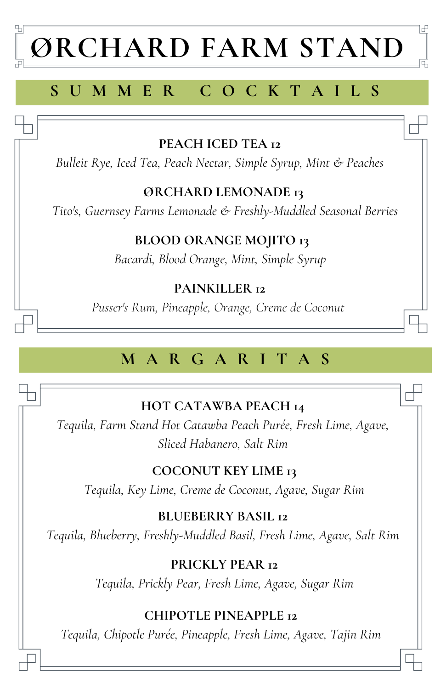# **ØRCHARD FARM STAND**

属

# **S U M M E R C O C K T A I L S**

## **PEACH ICED TEA 12**

*Bulleit Rye, Iced Tea, Peach Nectar, Simple Syrup, Mint & Peaches*

## **ØRCHARD LEMONADE 13**

*Tito's, Guernsey Farms Lemonade & Freshly-Muddled Seasonal Berries*

### **BLOOD ORANGE MOJITO 13**

*Bacardi, Blood Orange, Mint, Simple Syrup*

### **PAINKILLER 12**

*Pusser's Rum, Pineapple, Orange, Creme de Coconut*

# **M A R G A R I T A S**

## **HOT CATAWBA PEACH 14**

*Tequila, Farm Stand Hot Catawba Peach Purée, Fresh Lime, Agave, Sliced Habanero, Salt Rim*

## **COCONUT KEY LIME 13**

*Tequila, Key Lime, Creme de Coconut, Agave, Sugar Rim*

### **BLUEBERRY BASIL 12**

*Tequila, Blueberry, Freshly-Muddled Basil, Fresh Lime, Agave, Salt Rim*

#### **PRICKLY PEAR 12**

*Tequila, Prickly Pear, Fresh Lime, Agave, Sugar Rim*

## **CHIPOTLE PINEAPPLE 12**

*Tequila, Chipotle Purée, Pineapple, Fresh Lime, Agave, Tajin Rim*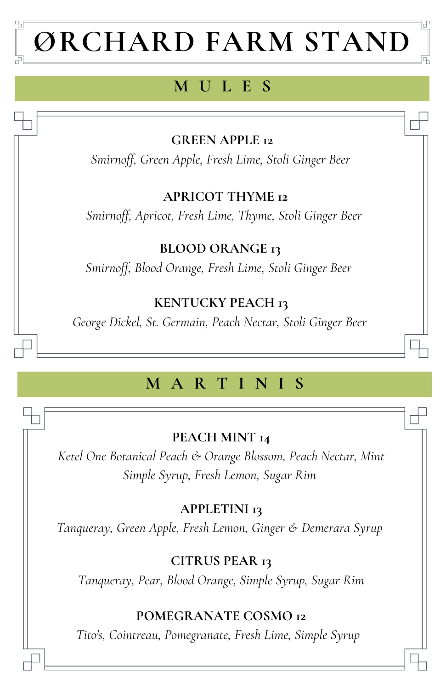# **ØRCHARD FARM STAND**

# **M U L E S**

## **GREEN APPLE 12**

*Smirnoff, Green Apple, Fresh Lime, Stoli Ginger Beer*

#### **APRICOT THYME 12**

*Smirnoff, Apricot, Fresh Lime, Thyme, Stoli Ginger Beer*

## **BLOOD ORANGE 13**

*Smirnoff, Blood Orange, Fresh Lime, Stoli Ginger Beer*

## **KENTUCKY PEACH 13**

*George Dickel, St. Germain, Peach Nectar, Stoli Ginger Beer*

# **M A R T I N I S**

#### **PEACH MINT 14**

*Ketel One Botanical Peach & Orange Blossom, Peach Nectar, Mint Simple Syrup, Fresh Lemon, Sugar Rim*

## **APPLETINI 13**

*Tanqueray, Green Apple, Fresh Lemon, Ginger & Demerara Syrup*

#### **CITRUS PEAR 13**

*Tanqueray, Pear, Blood Orange, Simple Syrup, Sugar Rim*

## **POMEGRANATE COSMO 12**

*Tito's, Cointreau, Pomegranate, Fresh Lime, Simple Syrup*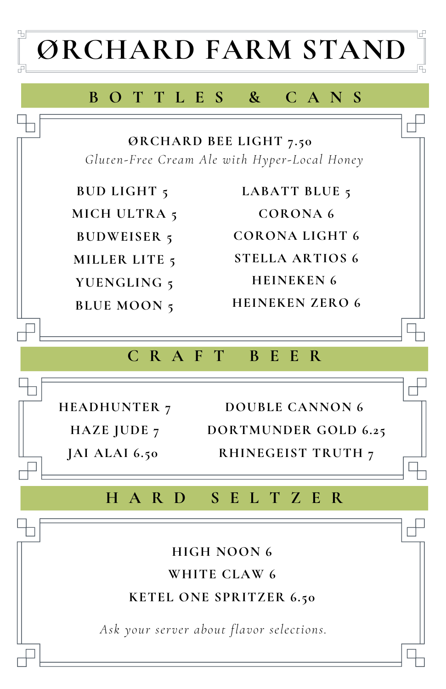

## **B O T T L E S & C A N S**

**ØRCHARD BEE LIGHT 7.50** *Gluten-Free Cream Ale with Hyper-Local Honey*

**BUD LIGHT 5**

**MICH ULTRA 5**

**BUDWEISER 5**

**MILLER LITE 5**

**YUENGLING 5**

**BLUE MOON 5**

**LABATT BLUE 5 CORONA 6 CORONA LIGHT 6 STELLA ARTIOS 6 HEINEKEN 6 HEINEKEN ZERO 6**

## **C R A F T B E E R**

**HEADHUNTER 7 JAI ALAI 6.50**

**HAZE JUDE 7 DORTMUNDER GOLD 6.25 DOUBLE CANNON 6 RHINEGEIST TRUTH 7**

# **H A R D S E L T Z E R**

**HIGH NOON 6 WHITE CLAW 6 KETEL ONE SPRITZER 6.50**

*Ask your server about flavor selections.*